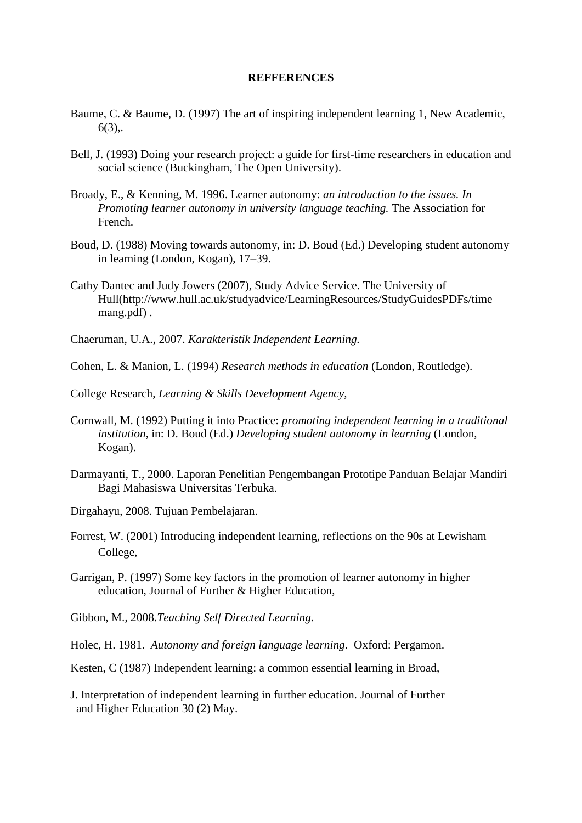## **REFFERENCES**

- Baume, C. & Baume, D. (1997) The art of inspiring independent learning 1, New Academic,  $6(3)$ .
- Bell, J. (1993) Doing your research project: a guide for first-time researchers in education and social science (Buckingham, The Open University).
- Broady, E., & Kenning, M. 1996. Learner autonomy: *an introduction to the issues. In Promoting learner autonomy in university language teaching.* The Association for French.
- Boud, D. (1988) Moving towards autonomy, in: D. Boud (Ed.) Developing student autonomy in learning (London, Kogan), 17–39.
- Cathy Dantec and Judy Jowers (2007), Study Advice Service. The University of Hull[\(http://www.hull.ac.uk/studyadvice/LearningResources/StudyGuidesPDFs/time](http://www.hull.ac.uk/studyadvice/LearningResources/StudyGuidesPDFs/time%20mang.pdf)  [mang.pdf\)](http://www.hull.ac.uk/studyadvice/LearningResources/StudyGuidesPDFs/time%20mang.pdf) .
- Chaeruman, U.A., 2007. *Karakteristik Independent Learning.*
- Cohen, L. & Manion, L. (1994) *Research methods in education* (London, Routledge).
- College Research, *Learning & Skills Development Agency,*
- Cornwall, M. (1992) Putting it into Practice: *promoting independent learning in a traditional institution*, in: D. Boud (Ed.) *Developing student autonomy in learning* (London, Kogan).
- Darmayanti, T., 2000. Laporan Penelitian Pengembangan Prototipe Panduan Belajar Mandiri Bagi Mahasiswa Universitas Terbuka.
- Dirgahayu, 2008. Tujuan Pembelajaran.
- Forrest, W. (2001) Introducing independent learning, reflections on the 90s at Lewisham College,
- Garrigan, P. (1997) Some key factors in the promotion of learner autonomy in higher education, Journal of Further & Higher Education,
- Gibbon, M., 2008.*Teaching Self Directed Learning.*
- Holec, H. 1981. *Autonomy and foreign language learning*. Oxford: Pergamon.
- Kesten, C (1987) Independent learning: a common essential learning in Broad,
- J. Interpretation of independent learning in further education. Journal of Further and Higher Education 30 (2) May.